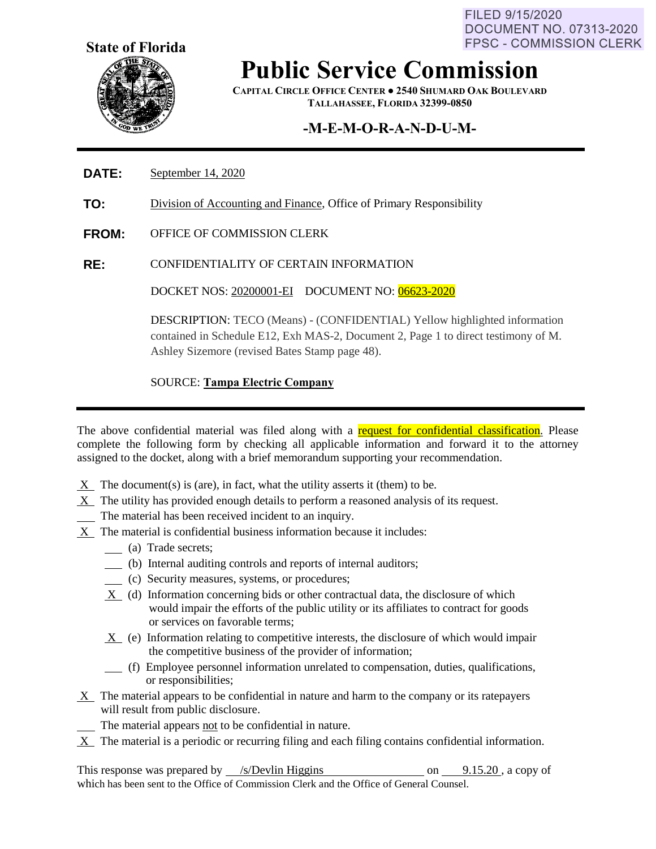FILED 9/15/2020 DOCUMENT NO. 07313-2020 **FPSC - COMMISSION CLERK** 



## **Public Service Commission**

**CAPITAL CIRCLE OFFICE CENTER ● 2540 SHUMARD OAK BOULEVARD TALLAHASSEE, FLORIDA 32399-0850**

### **-M-E-M-O-R-A-N-D-U-M-**

#### **DATE:** September 14, 2020

- **TO:** Division of Accounting and Finance, Office of Primary Responsibility
- **FROM:** OFFICE OF COMMISSION CLERK
- **RE:** CONFIDENTIALITY OF CERTAIN INFORMATION

DOCKET NOS: 20200001-EI DOCUMENT NO: 06623-2020

DESCRIPTION: TECO (Means) - (CONFIDENTIAL) Yellow highlighted information contained in Schedule E12, Exh MAS-2, Document 2, Page 1 to direct testimony of M. Ashley Sizemore (revised Bates Stamp page 48).

SOURCE: **Tampa Electric Company** 

The above confidential material was filed along with a request for confidential classification. Please complete the following form by checking all applicable information and forward it to the attorney assigned to the docket, along with a brief memorandum supporting your recommendation.

- $X$  The document(s) is (are), in fact, what the utility asserts it (them) to be.
- X The utility has provided enough details to perform a reasoned analysis of its request.
- The material has been received incident to an inquiry.
- X The material is confidential business information because it includes:
	- (a) Trade secrets;
	- (b) Internal auditing controls and reports of internal auditors;
	- (c) Security measures, systems, or procedures;
	- X (d) Information concerning bids or other contractual data, the disclosure of which would impair the efforts of the public utility or its affiliates to contract for goods or services on favorable terms;
	- X (e) Information relating to competitive interests, the disclosure of which would impair the competitive business of the provider of information;
	- (f) Employee personnel information unrelated to compensation, duties, qualifications, or responsibilities;
- X The material appears to be confidential in nature and harm to the company or its ratepayers will result from public disclosure.
- The material appears not to be confidential in nature.
- X The material is a periodic or recurring filing and each filing contains confidential information.

This response was prepared by  $\frac{\sqrt{s}}{2}$  /s /Devlin Higgins on 9.15.20, a copy of which has been sent to the Office of Commission Clerk and the Office of General Counsel.